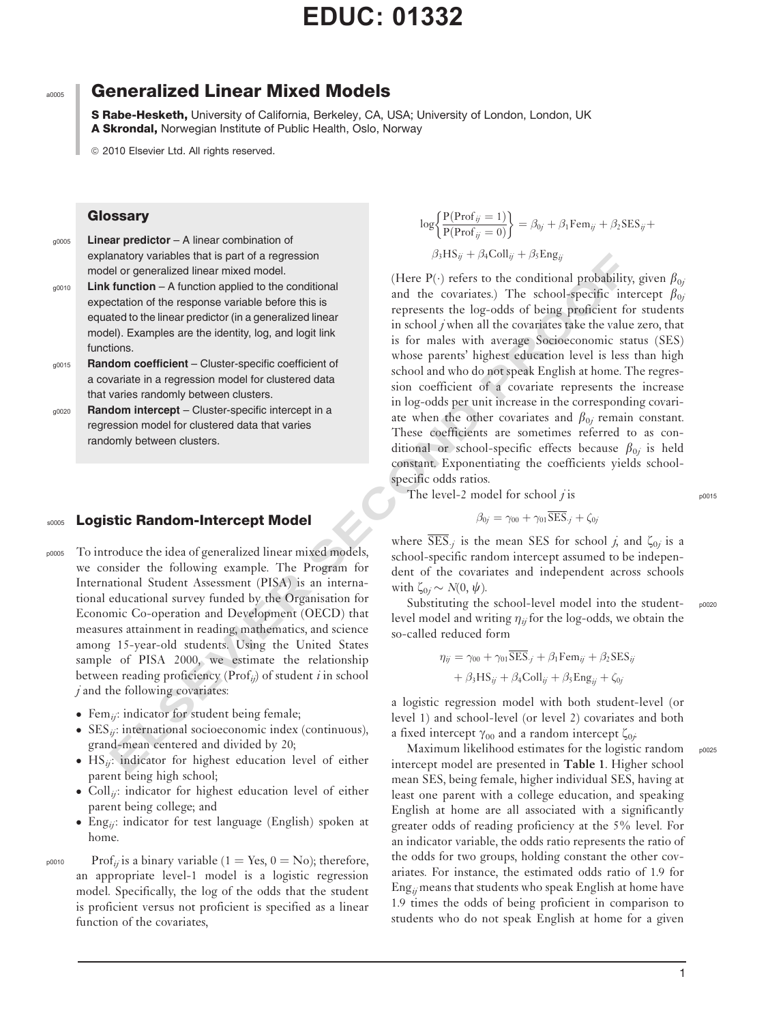S Rabe-Hesketh, University of California, Berkeley, CA, USA; University of London, London, UK A Skrondal, Norwegian Institute of Public Health, Oslo, Norway

ã 2010 Elsevier Ltd. All rights reserved.

## **Glossary**

g0005 Linear predictor - A linear combination of explanatory variables that is part of a regression model or generalized linear mixed model.

 $_{00010}$  Link function – A function applied to the conditional expectation of the response variable before this is equated to the linear predictor (in a generalized linear model). Examples are the identity, log, and logit link functions.

- g0015 Random coefficient Cluster-specific coefficient of a covariate in a regression model for clustered data that varies randomly between clusters.
- $g_{0020}$  Random intercept Cluster-specific intercept in a regression model for clustered data that varies randomly between clusters.

## **s0005 Logistic Random-Intercept Model**

- p0005 To introduce the idea of generalized linear mixed models, we consider the following example. The Program for International Student Assessment (PISA) is an international educational survey funded by the Organisation for Economic Co-operation and Development (OECD) that measures attainment in reading, mathematics, and science among 15-year-old students. Using the United States sample of PISA 2000, we estimate the relationship between reading proficiency ( $\text{Prof}_{ij}$ ) of student *i* in school  $j$  and the following covariates:
	- Fem<sub>ij</sub>: indicator for student being female;
	- $SES_{ii}$ : international socioeconomic index (continuous), grand-mean centered and divided by 20;
	- $\bullet$  HS<sub>ij</sub>: indicator for highest education level of either parent being high school;
	- $\bullet$  Coll<sub>ij</sub>: indicator for highest education level of either parent being college; and
	- Eng<sub>ij</sub>: indicator for test language (English) spoken at home.

 $_{p0010}$  Prof<sub>ij</sub> is a binary variable (1 = Yes, 0 = No); therefore, an appropriate level-1 model is a logistic regression model. Specifically, the log of the odds that the student is proficient versus not proficient is specified as a linear function of the covariates,

$$
\log \left\{ \frac{P(\text{Prof}_{ij} = 1)}{P(\text{Prof}_{ij} = 0)} \right\} = \beta_{0j} + \beta_1 \text{Fem}_{ij} + \beta_2 \text{SES}_{ij} + \beta_3 \text{HS}_{ij} + \beta_4 \text{Coll}_{ij} + \beta_5 \text{Eng}_{ij}
$$

and<br>not yarables that is part of a regression that is part of a regression and probability that<br>contained the monoton and the contained proposition of the response variable before this is and the contained by between the (Here P( $\cdot$ ) refers to the conditional probability, given  $\beta_{0i}$ and the covariates.) The school-specific intercept  $\beta_{0i}$ represents the log-odds of being proficient for students in school  $j$  when all the covariates take the value zero, that is for males with average Socioeconomic status (SES) whose parents' highest education level is less than high school and who do not speak English at home. The regression coefficient of a covariate represents the increase in log-odds per unit increase in the corresponding covariate when the other covariates and  $\beta_{0j}$  remain constant. These coefficients are sometimes referred to as conditional or school-specific effects because  $\beta_{0j}$  is held constant. Exponentiating the coefficients yields schoolspecific odds ratios.

The level-2 model for school *j* is  $p^{0015}$ 

$$
\beta_{0j} = \gamma_{00} + \gamma_{01} \overline{\text{SES}}_{.j} + \zeta_{0j}
$$

where SES<sub>j</sub> is the mean SES for school j, and  $\zeta_{0j}$  is a school-specific random intercept assumed to be independent of the covariates and independent across schools with  $\zeta_{0j} \sim N(0, \psi)$ .

Substituting the school-level model into the student- pooze level model and writing  $\eta_{ij}$  for the log-odds, we obtain the so-called reduced form

$$
\eta_{ij} = \gamma_{00} + \gamma_{01} \overline{\text{SES}}_j + \beta_1 \text{Fem}_{ij} + \beta_2 \text{SES}_{ij} + \beta_3 \text{HS}_{ij} + \beta_4 \text{Coll}_{ij} + \beta_5 \text{Eng}_{ij} + \zeta_{0j}
$$

a logistic regression model with both student-level (or level 1) and school-level (or level 2) covariates and both a fixed intercept  $\gamma_{00}$  and a random intercept  $\zeta_{0j}$ .

Maximum likelihood estimates for the logistic random p0025 intercept model are presented in Table 1. Higher school mean SES, being female, higher individual SES, having at least one parent with a college education, and speaking English at home are all associated with a significantly greater odds of reading proficiency at the 5% level. For an indicator variable, the odds ratio represents the ratio of the odds for two groups, holding constant the other covariates. For instance, the estimated odds ratio of 1.9 for Eng<sub>ij</sub> means that students who speak English at home have 1.9 times the odds of being proficient in comparison to students who do not speak English at home for a given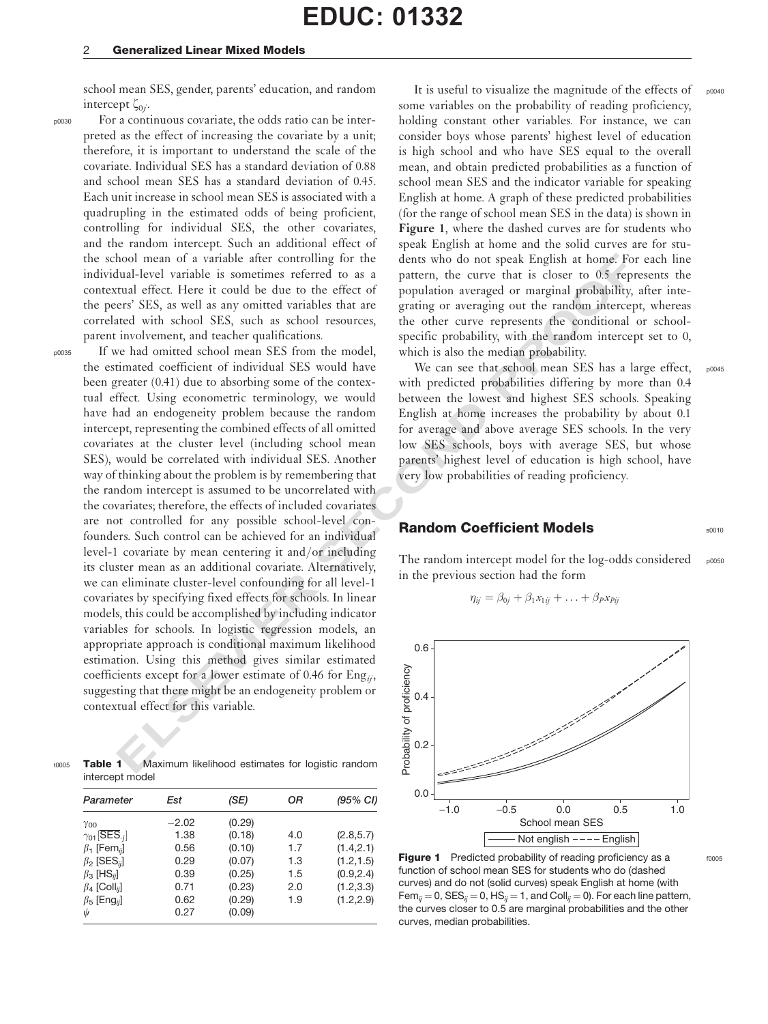#### 2 Generalized Linear Mixed Models

school mean SES, gender, parents' education, and random intercept  $\zeta_{0i}$ .

p0030 For a continuous covariate, the odds ratio can be interpreted as the effect of increasing the covariate by a unit; therefore, it is important to understand the scale of the covariate. Individual SES has a standard deviation of 0.88 and school mean SES has a standard deviation of 0.45. Each unit increase in school mean SES is associated with a quadrupling in the estimated odds of being proficient, controlling for individual SES, the other covariates, and the random intercept. Such an additional effect of the school mean of a variable after controlling for the individual-level variable is sometimes referred to as a contextual effect. Here it could be due to the effect of the peers' SES, as well as any omitted variables that are correlated with school SES, such as school resources, parent involvement, and teacher qualifications.

hood mean of a variable after controlling for the dens who do not speak English at home For<br>the second mean of a variable since the second mean for the second mean field. Here it could be the total be the effect of popula p0035 If we had omitted school mean SES from the model, the estimated coefficient of individual SES would have been greater (0.41) due to absorbing some of the contextual effect. Using econometric terminology, we would have had an endogeneity problem because the random intercept, representing the combined effects of all omitted covariates at the cluster level (including school mean SES), would be correlated with individual SES. Another way of thinking about the problem is by remembering that the random intercept is assumed to be uncorrelated with the covariates; therefore, the effects of included covariates are not controlled for any possible school-level confounders. Such control can be achieved for an individual level-1 covariate by mean centering it and/or including its cluster mean as an additional covariate. Alternatively, we can eliminate cluster-level confounding for all level-1 covariates by specifying fixed effects for schools. In linear models, this could be accomplished by including indicator variables for schools. In logistic regression models, an appropriate approach is conditional maximum likelihood estimation. Using this method gives similar estimated coefficients except for a lower estimate of 0.46 for  $Eng_{ii}$ , suggesting that there might be an endogeneity problem or contextual effect for this variable.

t0005 Table 1 Maximum likelihood estimates for logistic random intercept model

| Parameter                                                                                                                                                                                                                              | Est                                                             | (SE)                                                                         | ОR                                     | (95% CI)                                                                         |
|----------------------------------------------------------------------------------------------------------------------------------------------------------------------------------------------------------------------------------------|-----------------------------------------------------------------|------------------------------------------------------------------------------|----------------------------------------|----------------------------------------------------------------------------------|
| Yoo<br>$\gamma_{01}[\overline{\textsf{SES}}_{\cdot j}]$<br>$\beta_1$ [Fem <sub>ii</sub> ]<br>$\beta_2$ [SES <sub>ii</sub> ]<br>$\beta_3$ [HS <sub>ij</sub> ]<br>$\beta_4$ [Coll <sub>ij</sub> ]<br>$\beta_5$ [Eng <sub>ij</sub> ]<br>ψ | $-2.02$<br>1.38<br>0.56<br>0.29<br>0.39<br>0.71<br>0.62<br>0.27 | (0.29)<br>(0.18)<br>(0.10)<br>(0.07)<br>(0.25)<br>(0.23)<br>(0.29)<br>(0.09) | 4.0<br>1.7<br>1.3<br>1.5<br>2.0<br>1.9 | (2.8, 5.7)<br>(1.4, 2.1)<br>(1.2, 1.5)<br>(0.9, 2.4)<br>(1.2, 3.3)<br>(1.2, 2.9) |

It is useful to visualize the magnitude of the effects of  $_{\text{p0040}}$ some variables on the probability of reading proficiency, holding constant other variables. For instance, we can consider boys whose parents' highest level of education is high school and who have SES equal to the overall mean, and obtain predicted probabilities as a function of school mean SES and the indicator variable for speaking English at home. A graph of these predicted probabilities (for the range of school mean SES in the data) is shown in Figure 1, where the dashed curves are for students who speak English at home and the solid curves are for students who do not speak English at home. For each line pattern, the curve that is closer to 0.5 represents the population averaged or marginal probability, after integrating or averaging out the random intercept, whereas the other curve represents the conditional or schoolspecific probability, with the random intercept set to 0, which is also the median probability.

We can see that school mean SES has a large effect, with predicted probabilities differing by more than 0.4 between the lowest and highest SES schools. Speaking English at home increases the probability by about 0.1 for average and above average SES schools. In the very low SES schools, boys with average SES, but whose parents' highest level of education is high school, have very low probabilities of reading proficiency.

### **Random Coefficient Models SOO10** SOO10

The random intercept model for the  $log-$ odds considered p0050 in the previous section had the form

$$
\eta_{ij} = \beta_{0j} + \beta_1 x_{1ij} + \ldots + \beta_p x_{Pij}
$$



**Figure 1** Predicted probability of reading proficiency as a  $_{6005}$ function of school mean SES for students who do (dashed curves) and do not (solid curves) speak English at home (with Fem<sub>ij</sub> = 0, SES<sub>ij</sub> = 0, HS<sub>ij</sub> = 1, and Coll<sub>ij</sub> = 0). For each line pattern, the curves closer to 0.5 are marginal probabilities and the other curves, median probabilities.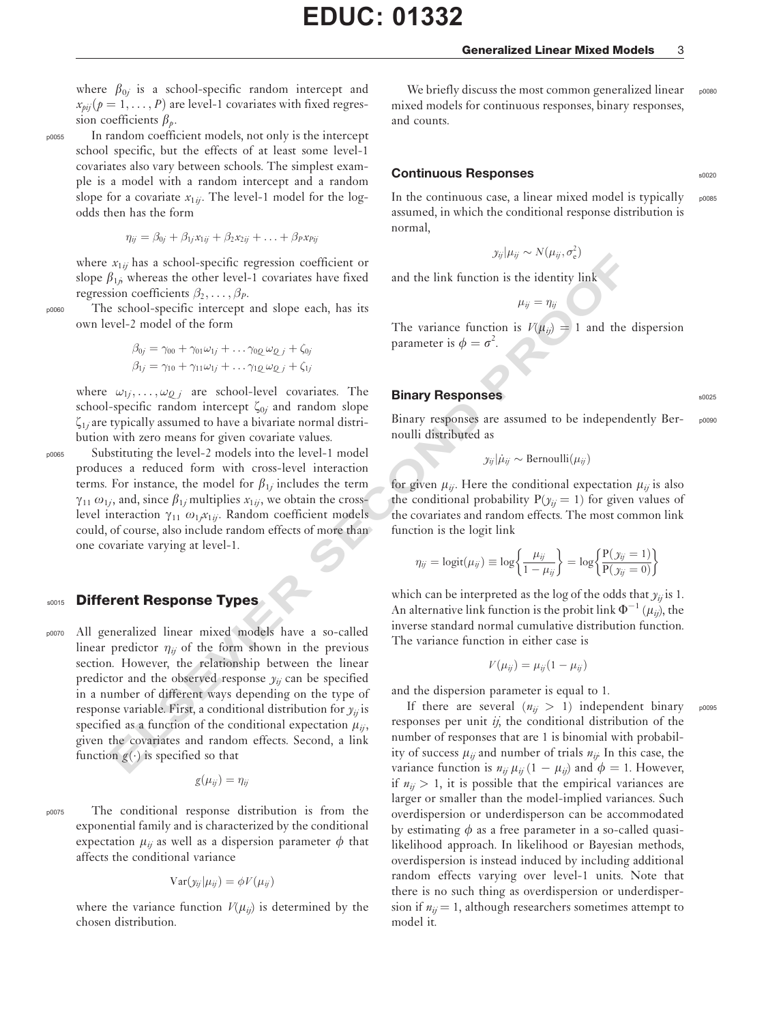where  $\beta_{0i}$  is a school-specific random intercept and  $x_{pi}$  $(p = 1, ..., P)$  are level-1 covariates with fixed regression coefficients  $\beta_p$ .

p0055 In random coefficient models, not only is the intercept school specific, but the effects of at least some level-1 covariates also vary between schools. The simplest example is a model with a random intercept and a random slope for a covariate  $x_{1ii}$ . The level-1 model for the logodds then has the form

$$
\eta_{ij} = \beta_{0j} + \beta_{1j}x_{1ij} + \beta_2x_{2ij} + \ldots + \beta_px_{Pij}
$$

where  $x_{1ij}$  has a school-specific regression coefficient or slope  $\beta_{1j}$  whereas the other level-1 covariates have fixed regression coefficients  $\beta_2, \ldots, \beta_p$ .

p0060 The school-specific intercept and slope each, has its own level-2 model of the form

$$
\beta_{0j} = \gamma_{00} + \gamma_{01}\omega_{1j} + \dots \gamma_{0Q}\omega_{Q,j} + \zeta_{0j}
$$
  

$$
\beta_{1j} = \gamma_{10} + \gamma_{11}\omega_{1j} + \dots \gamma_{1Q}\omega_{Q,j} + \zeta_{1j}
$$

where  $\omega_{1j}, \dots, \omega_{Qj}$  are school-level covariates. The school-specific random intercept  $\zeta_{0j}$  and random slope  $\zeta_{1i}$  are typically assumed to have a bivariate normal distribution with zero means for given covariate values.

p0065 Substituting the level-2 models into the level-1 model produces a reduced form with cross-level interaction terms. For instance, the model for  $\beta_{1j}$  includes the term  $\gamma_{11}$   $\omega_{1j}$ , and, since  $\beta_{1j}$  multiplies  $x_{1ij}$ , we obtain the crosslevel interaction  $\gamma_{11}$   $\omega_{1j}x_{1ij}$ . Random coefficient models<br>could of course also include random effects of more than could, of course, also include random effects of more than one covariate varying at level-1.

# **s0015 Different Response Types**

xi<sub>N</sub> has a school-specific regression coefficient or<br>  $x_{ij}p_{ij}e^{-y_i}y_{ijq_j}e^{-y_i}y_{ijq_j}$ .<br>  $\hat{y}_{ij}$  whereas the other level-1 covariates have fixed and the link function is  $P(\hat{y}_{ij}) = 1$  and the<br>
school-specific intercept p0070 All generalized linear mixed models have a so-called linear predictor  $\eta_{ij}$  of the form shown in the previous section. However, the relationship between the linear predictor and the observed response  $y_{ij}$  can be specified in a number of different ways depending on the type of response variable. First, a conditional distribution for  $y_{ii}$  is specified as a function of the conditional expectation  $\mu_{ii}$ , given the covariates and random effects. Second, a link function  $g(\cdot)$  is specified so that

$$
g(\mu_{ij})=\eta_{ij}
$$

p0075 The conditional response distribution is from the exponential family and is characterized by the conditional expectation  $\mu_{ij}$  as well as a dispersion parameter  $\phi$  that affects the conditional variance

$$
Var(y_{ij}|\mu_{ij}) = \phi V(\mu_{ij})
$$

where the variance function  $V(\mu_{ii})$  is determined by the chosen distribution.

We briefly discuss the most common generalized linear  $_{\text{p}0080}$ mixed models for continuous responses, binary responses, and counts.

### Continuous Responses s0020

In the continuous case, a linear mixed model is typically  $_{\text{poose}}$ assumed, in which the conditional response distribution is normal,

$$
y_{ij}|\mu_{ij} \sim N(\mu_{ij}, \sigma_{\rm e}^2)
$$

and the link function is the identity link

 $\mu_{ii} = \eta_{ii}$ 

The variance function is  $V(\mu_{ij}) = 1$  and the dispersion parameter is  $\phi = \sigma^2$ . .

#### Binary Responses and the state state state state state state state state state state state state state state state state state state state state state state state state state state state state state state state state state

Binary responses are assumed to be independently Ber- poose noulli distributed as

$$
y_{ij}|\dot{\mu}_{ij} \sim \text{Bernoulli}(\mu_{ij})
$$

for given  $\mu_{ij}$ . Here the conditional expectation  $\mu_{ij}$  is also the conditional probability  $P(y_{ij} = 1)$  for given values of the covariates and random effects. The most common link function is the logit link

$$
\eta_{ij} = \text{logit}(\mu_{ij}) \equiv \text{log}\left\{\frac{\mu_{ij}}{1 - \mu_{ij}}\right\} = \text{log}\left\{\frac{P(y_{ij} = 1)}{P(y_{ij} = 0)}\right\}
$$

which can be interpreted as the log of the odds that  $y_{ij}$  is 1. An alternative link function is the probit link  $\Phi^{-1}(\mu_{ii})$ , the inverse standard normal cumulative distribution function. The variance function in either case is

$$
V(\mu_{ij})=\mu_{ij}(1-\mu_{ij})
$$

and the dispersion parameter is equal to 1.

If there are several  $(n_{ii} > 1)$  independent binary poose responses per unit  $ij$ , the conditional distribution of the number of responses that are 1 is binomial with probability of success  $\mu_{ij}$  and number of trials  $n_{ij}$ . In this case, the variance function is  $n_{ij} \mu_{ij} (1 - \mu_{ij})$  and  $\phi = 1$ . However, if  $n_{ij} > 1$ , it is possible that the empirical variances are larger or smaller than the model-implied variances. Such overdispersion or underdisperson can be accommodated by estimating  $\phi$  as a free parameter in a so-called quasilikelihood approach. In likelihood or Bayesian methods, overdispersion is instead induced by including additional random effects varying over level-1 units. Note that there is no such thing as overdispersion or underdispersion if  $n_{ij} = 1$ , although researchers sometimes attempt to model it.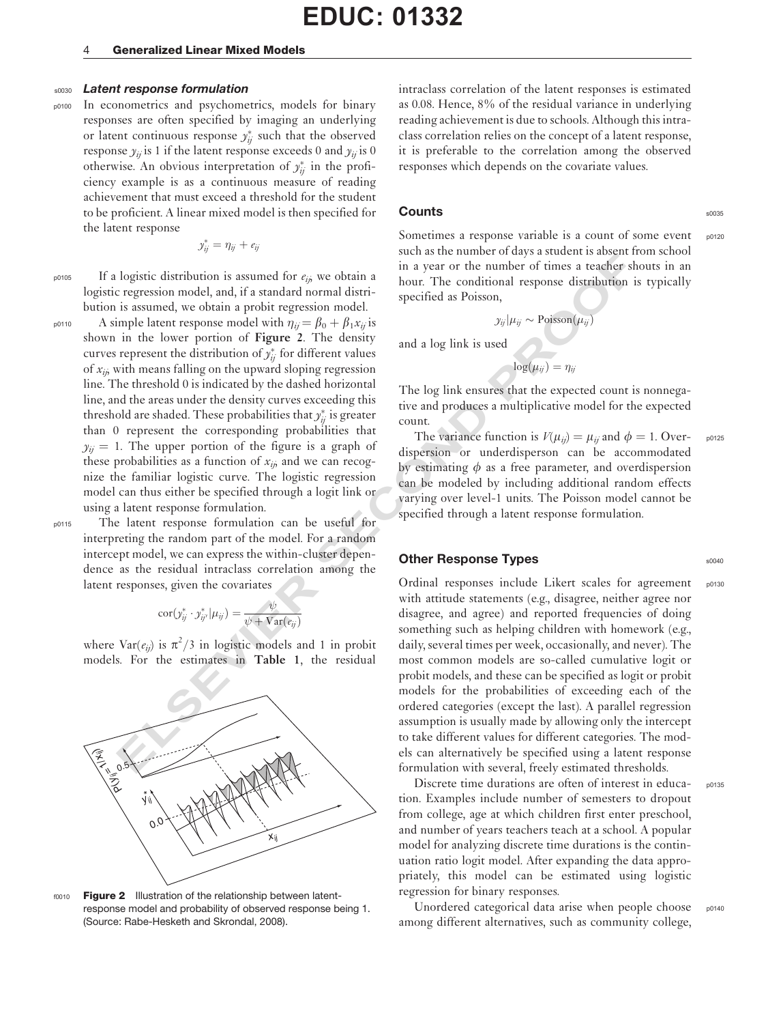#### 4 Generalized Linear Mixed Models

#### s0030 Latent response formulation

p0100 In econometrics and psychometrics, models for binary responses are often specified by imaging an underlying or latent continuous response  $y_{ij}^*$  such that the observed response  $y_{ij}$  is 1 if the latent response exceeds 0 and  $y_{ij}$  is 0 otherwise. An obvious interpretation of  $y_{ij}^*$  in the proficiency example is as a continuous measure of reading achievement that must exceed a threshold for the student to be proficient. A linear mixed model is then specified for the latent response

$$
y_{ij}^* = \eta_{ij} + e_{ij}
$$

 $_{p0105}$  If a logistic distribution is assumed for  $e_{ij}$ , we obtain a logistic regression model, and, if a standard normal distribution is assumed, we obtain a probit regression model.

logistic distribution is assumed for  $\epsilon_{ij}$  we obtain a some one one one of the number of times a teacher st<br>regression model, and, if a standard normal distri-<br>box one of the number of times a teacher st<br>regression mode  $_{p0110}$  A simple latent response model with  $\eta_{ii} = \beta_0 + \beta_1 x_{ii}$  is shown in the lower portion of Figure 2. The density curves represent the distribution of  $y_{ij}^*$  for different values of  $x_{ij}$ , with means falling on the upward sloping regression line. The threshold 0 is indicated by the dashed horizontal line, and the areas under the density curves exceeding this threshold are shaded. These probabilities that  $y_{ij}^{\ast}$  is greater than 0 represent the corresponding probabilities that  $y_{ii} = 1$ . The upper portion of the figure is a graph of these probabilities as a function of  $x_{ij}$  and we can recognize the familiar logistic curve. The logistic regression model can thus either be specified through a logit link or using a latent response formulation.

p0115 The latent response formulation can be useful for interpreting the random part of the model. For a random intercept model, we can express the within-cluster dependence as the residual intraclass correlation among the latent responses, given the covariates

$$
\mathrm{cor}(y_{ij}^* \cdot y_{ij'}^* | \mu_{ij}) = \frac{\psi}{\psi + \mathrm{Var}(e_{ij})}
$$

where  $\text{Var}(e_{ij})$  is  $\pi^2/3$  in logistic models and 1 in probit<br>models. For the estimates in Table 1, the residual models. For the estimates in Table 1, the residual



f0010 Figure 2 Illustration of the relationship between latentresponse model and probability of observed response being 1. (Source: Rabe-Hesketh and Skrondal, 2008).

intraclass correlation of the latent responses is estimated as 0.08. Hence, 8% of the residual variance in underlying reading achievement is due to schools. Although this intraclass correlation relies on the concept of a latent response, it is preferable to the correlation among the observed responses which depends on the covariate values.

# **Counts** some set of the some set of the some set of the some set of the some set of the some set of the some set of the some set of the some set of the some set of the some set of the some set of the some set of the some

Sometimes a response variable is a count of some event p0120 such as the number of days a student is absent from school in a year or the number of times a teacher shouts in an

 $y_{ij}$   $\vert \mu_{ij} \sim \text{Poisson}(\mu_i)$ 

hour. The conditional response distribution is typically

and a log link is used

specified as Poisson,

 $log(\mu_{ij}) = \eta_{ij}$ 

The log link ensures that the expected count is nonnegative and produces a multiplicative model for the expected count.

The variance function is  $V(\mu_{ij}) = \mu_{ij}$  and  $\phi = 1$ . Over- p0125 dispersion or underdisperson can be accommodated by estimating  $\phi$  as a free parameter, and overdispersion can be modeled by including additional random effects varying over level-1 units. The Poisson model cannot be specified through a latent response formulation.

### **Other Response Types** solution of the solution of the solution of the solution of the solution of the solution of the solution of the solution of the solution of the solution of the solution of the solution of the solutio

Ordinal responses include Likert scales for agreement poise with attitude statements (e.g., disagree, neither agree nor disagree, and agree) and reported frequencies of doing something such as helping children with homework (e.g., daily, several times per week, occasionally, and never). The most common models are so-called cumulative logit or probit models, and these can be specified as logit or probit models for the probabilities of exceeding each of the ordered categories (except the last). A parallel regression assumption is usually made by allowing only the intercept to take different values for different categories. The models can alternatively be specified using a latent response formulation with several, freely estimated thresholds.

Discrete time durations are often of interest in educa-<br>
<sub>p0135</sub> tion. Examples include number of semesters to dropout from college, age at which children first enter preschool, and number of years teachers teach at a school. A popular model for analyzing discrete time durations is the continuation ratio logit model. After expanding the data appropriately, this model can be estimated using logistic regression for binary responses.

Unordered categorical data arise when people choose p0140 among different alternatives, such as community college,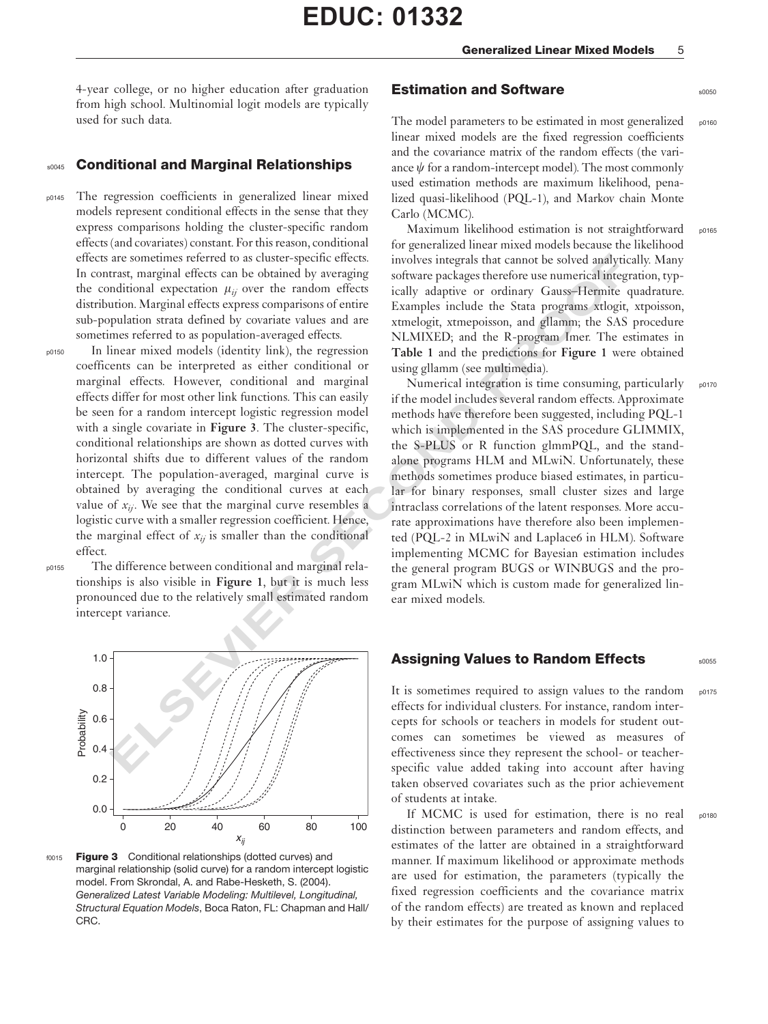4-year college, or no higher education after graduation from high school. Multinomial logit models are typically used for such data.

#### s0045 Conditional and Marginal Relationships

- p0145 The regression coefficients in generalized linear mixed models represent conditional effects in the sense that they express comparisons holding the cluster-specific random effects (and covariates) constant. For this reason, conditional effects are sometimes referred to as cluster-specific effects. In contrast, marginal effects can be obtained by averaging the conditional expectation  $\mu_{ii}$  over the random effects distribution. Marginal effects express comparisons of entire sub-population strata defined by covariate values and are sometimes referred to as population-averaged effects.
- p0150 In linear mixed models (identity link), the regression coefficents can be interpreted as either conditional or marginal effects. However, conditional and marginal effects differ for most other link functions. This can easily be seen for a random intercept logistic regression model with a single covariate in Figure 3. The cluster-specific, conditional relationships are shown as dotted curves with horizontal shifts due to different values of the random intercept. The population-averaged, marginal curve is obtained by averaging the conditional curves at each value of  $x_{ii}$ . We see that the marginal curve resembles a logistic curve with a smaller regression coefficient. Hence, the marginal effect of  $x_{ij}$  is smaller than the conditional effect.
- 
- p0155 The difference between conditional and marginal relationships is also visible in Figure 1, but it is much less pronounced due to the relatively small estimated random intercept variance.



f0015 Figure 3 Conditional relationships (dotted curves) and marginal relationship (solid curve) for a random intercept logistic model. From Skrondal, A. and Rabe-Hesketh, S. (2004). Generalized Latest Variable Modeling: Multilevel, Longitudinal, Structural Equation Models, Boca Raton, FL: Chapman and Hall/ CRC.

#### **Estimation and Software solution and Software superiorism and Software**

The model parameters to be estimated in most generalized  $_{\text{p0160}}$ linear mixed models are the fixed regression coefficients and the covariance matrix of the random effects (the variance  $\psi$  for a random-intercept model). The most commonly used estimation methods are maximum likelihood, penalized quasi-likelihood (PQL-1), and Markov chain Monte Carlo (MCMC).

Maximum likelihood estimation is not straightforward p0165 for generalized linear mixed models because the likelihood involves integrals that cannot be solved analytically. Many software packages therefore use numerical integration, typically adaptive or ordinary Gauss–Hermite quadrature. Examples include the Stata programs xtlogit, xtpoisson, xtmelogit, xtmepoisson, and gllamm; the SAS procedure NLMIXED; and the R-program Imer. The estimates in Table 1 and the predictions for Figure 1 were obtained using gllamm (see multimedia).

are sometimes referred to as cluster-specific effects. involves integrals that cannot be solved analytical properties are smaller than the sympatom of the standard expectation  $\mu_{\rm g}$  or the readon effects in all applic Numerical integration is time consuming, particularly  $_{\text{p017C}}$ if the model includes several random effects. Approximate methods have therefore been suggested, including PQL-1 which is implemented in the SAS procedure GLIMMIX, the S-PLUS or R function glmmPQL, and the standalone programs HLM and MLwiN. Unfortunately, these methods sometimes produce biased estimates, in particular for binary responses, small cluster sizes and large intraclass correlations of the latent responses. More accurate approximations have therefore also been implemented (PQL-2 in MLwiN and Laplace6 in HLM). Software implementing MCMC for Bayesian estimation includes the general program BUGS or WINBUGS and the program MLwiN which is custom made for generalized linear mixed models.

### Assigning Values to Random Effects **SODES** 50055

It is sometimes required to assign values to the random  $_{\text{p0175}}$ effects for individual clusters. For instance, random intercepts for schools or teachers in models for student outcomes can sometimes be viewed as measures of effectiveness since they represent the school- or teacherspecific value added taking into account after having taken observed covariates such as the prior achievement of students at intake.

If MCMC is used for estimation, there is no real poison distinction between parameters and random effects, and estimates of the latter are obtained in a straightforward manner. If maximum likelihood or approximate methods are used for estimation, the parameters (typically the fixed regression coefficients and the covariance matrix of the random effects) are treated as known and replaced by their estimates for the purpose of assigning values to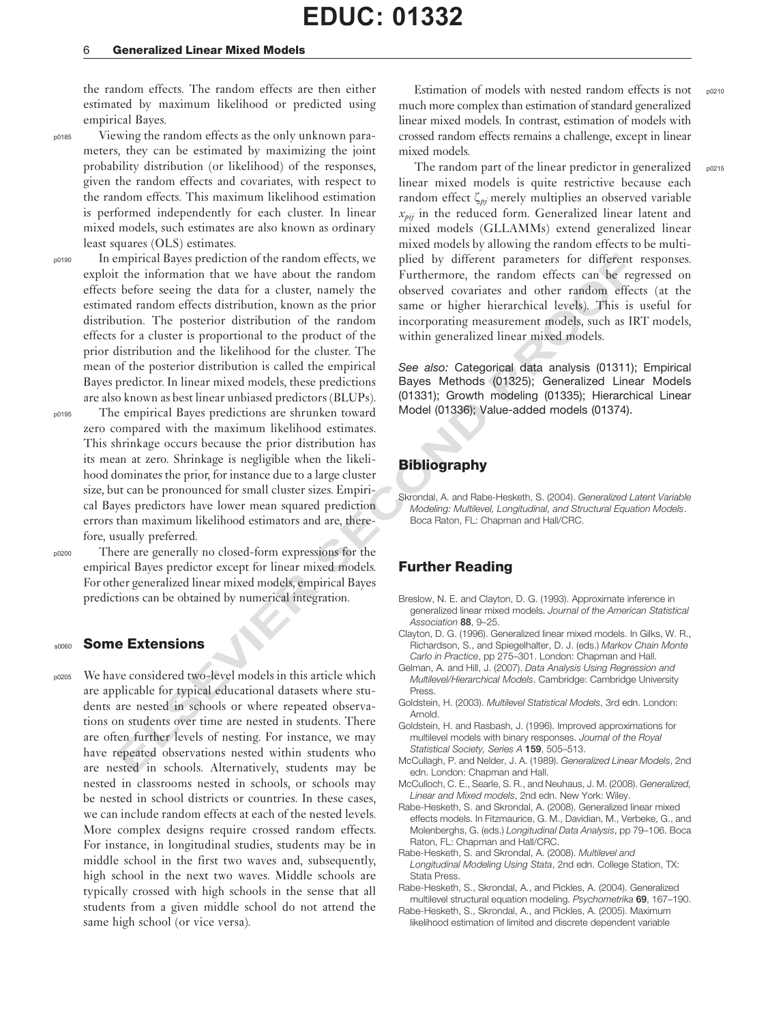#### 6 Generalized Linear Mixed Models

the random effects. The random effects are then either estimated by maximum likelihood or predicted using empirical Bayes.

p0185 Viewing the random effects as the only unknown parameters, they can be estimated by maximizing the joint probability distribution (or likelihood) of the responses, given the random effects and covariates, with respect to the random effects. This maximum likelihood estimation is performed independently for each cluster. In linear mixed models, such estimates are also known as ordinary least squares (OLS) estimates.

mpirical Bayes prediction on the random effects, we pitch by different parameters for different the information that we have about the random Ferthermore, the random effects can be repeated to the formulation of the rando p0190 In empirical Bayes prediction of the random effects, we exploit the information that we have about the random effects before seeing the data for a cluster, namely the estimated random effects distribution, known as the prior distribution. The posterior distribution of the random effects for a cluster is proportional to the product of the prior distribution and the likelihood for the cluster. The mean of the posterior distribution is called the empirical Bayes predictor. In linear mixed models, these predictions are also known as best linear unbiased predictors (BLUPs).

- p0195 The empirical Bayes predictions are shrunken toward zero compared with the maximum likelihood estimates. This shrinkage occurs because the prior distribution has its mean at zero. Shrinkage is negligible when the likelihood dominates the prior, for instance due to a large cluster size, but can be pronounced for small cluster sizes. Empirical Bayes predictors have lower mean squared prediction errors than maximum likelihood estimators and are, therefore, usually preferred.
- 

p0200 There are generally no closed-form expressions for the empirical Bayes predictor except for linear mixed models. For other generalized linear mixed models, empirical Bayes predictions can be obtained by numerical integration.

### **s0060** Some Extensions

p0205 We have considered two-level models in this article which are applicable for typical educational datasets where students are nested in schools or where repeated observations on students over time are nested in students. There are often further levels of nesting. For instance, we may have repeated observations nested within students who are nested in schools. Alternatively, students may be nested in classrooms nested in schools, or schools may be nested in school districts or countries. In these cases, we can include random effects at each of the nested levels. More complex designs require crossed random effects. For instance, in longitudinal studies, students may be in middle school in the first two waves and, subsequently, high school in the next two waves. Middle schools are typically crossed with high schools in the sense that all students from a given middle school do not attend the same high school (or vice versa).

Estimation of models with nested random effects is not  $_{0.0210}$ much more complex than estimation of standard generalized linear mixed models. In contrast, estimation of models with crossed random effects remains a challenge, except in linear mixed models.

The random part of the linear predictor in generalized  $_{po215}$ linear mixed models is quite restrictive because each random effect  $\zeta_{\nu i}$  merely multiplies an observed variable  $x_{\text{pri}}$  in the reduced form. Generalized linear latent and mixed models (GLLAMMs) extend generalized linear mixed models by allowing the random effects to be multiplied by different parameters for different responses. Furthermore, the random effects can be regressed on observed covariates and other random effects (at the same or higher hierarchical levels). This is useful for incorporating measurement models, such as IRT models, within generalized linear mixed models.

See also: Categorical data analysis (01311); Empirical Bayes Methods (01325); Generalized Linear Models (01331); Growth modeling (01335); Hierarchical Linear Model (01336); Value-added models (01374).

## Bibliography

Skrondal, A. and Rabe-Hesketh, S. (2004). Generalized Latent Variable Modeling: Multilevel, Longitudinal, and Structural Equation Models. Boca Raton, FL: Chapman and Hall/CRC.

## Further Reading

- Breslow, N. E. and Clayton, D. G. (1993). Approximate inference in generalized linear mixed models. Journal of the American Statistical Association 88, 9–25.
- Clayton, D. G. (1996). Generalized linear mixed models. In Gilks, W. R., Richardson, S., and Spiegelhalter, D. J. (eds.) Markov Chain Monte Carlo in Practice, pp 275–301. London: Chapman and Hall.
- Gelman, A. and Hill, J. (2007). Data Analysis Using Regression and Multilevel/Hierarchical Models. Cambridge: Cambridge University **Press**
- Goldstein, H. (2003). Multilevel Statistical Models, 3rd edn. London: Arnold.
- Goldstein, H. and Rasbash, J. (1996). Improved approximations for multilevel models with binary responses. Journal of the Royal Statistical Society, Series A 159, 505-513.
- McCullagh, P. and Nelder, J. A. (1989). Generalized Linear Models, 2nd edn. London: Chapman and Hall.
- McCulloch, C. E., Searle, S. R., and Neuhaus, J. M. (2008). Generalized, Linear and Mixed models, 2nd edn. New York: Wiley.
- Rabe-Hesketh, S. and Skrondal, A. (2008). Generalized linear mixed effects models. In Fitzmaurice, G. M., Davidian, M., Verbeke, G., and Molenberghs, G. (eds.) Longitudinal Data Analysis, pp 79–106. Boca Raton, FL: Chapman and Hall/CRC.
- Rabe-Hesketh, S. and Skrondal, A. (2008). Multilevel and Longitudinal Modeling Using Stata, 2nd edn. College Station, TX: Stata Press.
- Rabe-Hesketh, S., Skrondal, A., and Pickles, A. (2004). Generalized multilevel structural equation modeling. Psychometrika 69, 167–190.
- Rabe-Hesketh, S., Skrondal, A., and Pickles, A. (2005). Maximum likelihood estimation of limited and discrete dependent variable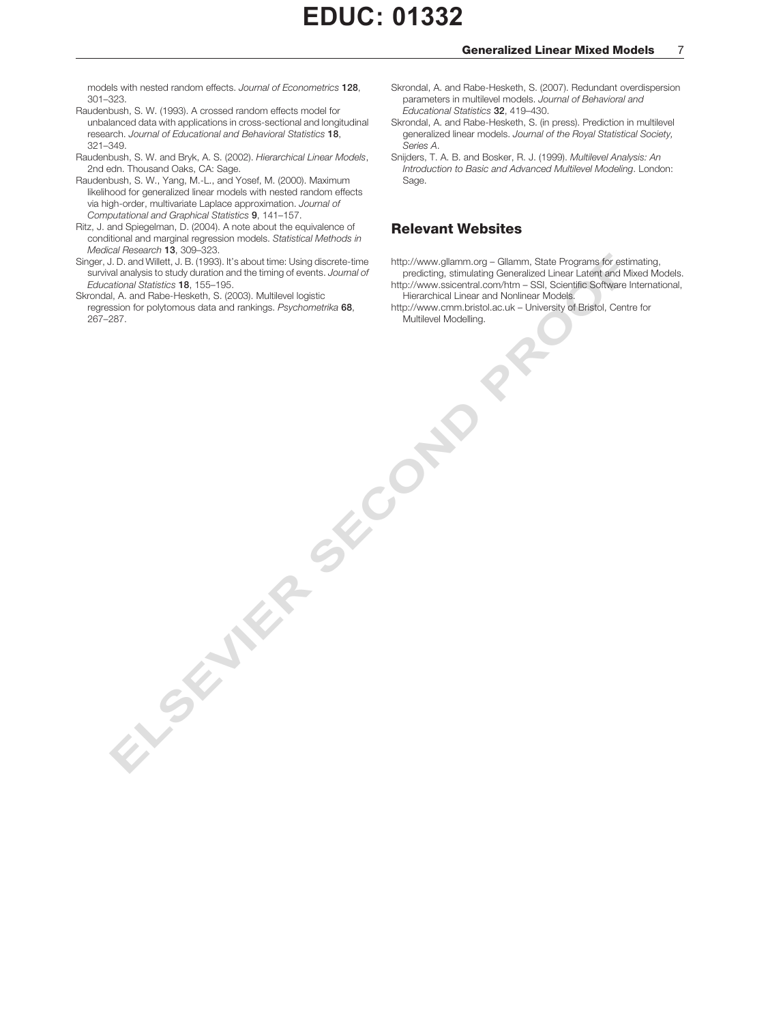models with nested random effects. Journal of Econometrics 128, 301–323.

- Raudenbush, S. W. (1993). A crossed random effects model for unbalanced data with applications in cross-sectional and longitudinal research. Journal of Educational and Behavioral Statistics 18, 321–349.
- Raudenbush, S. W. and Bryk, A. S. (2002). Hierarchical Linear Models, 2nd edn. Thousand Oaks, CA: Sage.
- Raudenbush, S. W., Yang, M.-L., and Yosef, M. (2000). Maximum likelihood for generalized linear models with nested random effects via high-order, multivariate Laplace approximation. Journal of Computational and Graphical Statistics 9, 141–157.
- Ritz, J. and Spiegelman, D. (2004). A note about the equivalence of conditional and marginal regression models. Statistical Methods in Medical Research 13, 309–323.
- Singer, J. D. and Willett, J. B. (1993). It's about time: Using discrete-time survival analysis to study duration and the timing of events. Journal of Educational Statistics 18, 155–195.

ELSEVIER SECOND

Skrondal, A. and Rabe-Hesketh, S. (2003). Multilevel logistic regression for polytomous data and rankings. Psychometrika 68, 267–287.

- Skrondal, A. and Rabe-Hesketh, S. (2007). Redundant overdispersion parameters in multilevel models. Journal of Behavioral and Educational Statistics 32, 419–430.
- Skrondal, A. and Rabe-Hesketh, S. (in press). Prediction in multilevel generalized linear models. Journal of the Royal Statistical Society, Series A.
- Snijders, T. A. B. and Bosker, R. J. (1999). Multilevel Analysis: An Introduction to Basic and Advanced Multilevel Modeling. London: Sage.

#### Relevant Websites

http://www.gllamm.org – Gllamm, State Programs for estimating,

- predicting, stimulating Generalized Linear Latent and Mixed Models. http://www.ssicentral.com/htm – SSI, Scientific Software International, Hierarchical Linear and Nonlinear Models.
- http://www.cmm.bristol.ac.uk University of Bristol, Centre for Multilevel Modelling.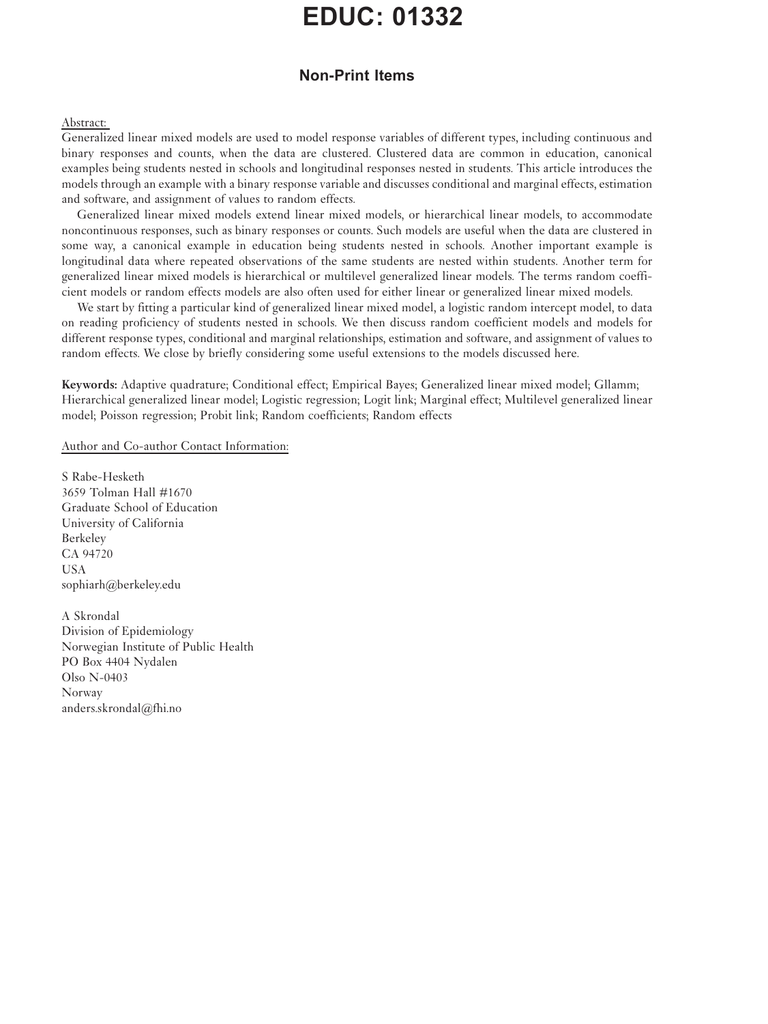# Non-Print Items

### Abstract:

Generalized linear mixed models are used to model response variables of different types, including continuous and binary responses and counts, when the data are clustered. Clustered data are common in education, canonical examples being students nested in schools and longitudinal responses nested in students. This article introduces the models through an example with a binary response variable and discusses conditional and marginal effects, estimation and software, and assignment of values to random effects.

Generalized linear mixed models extend linear mixed models, or hierarchical linear models, to accommodate noncontinuous responses, such as binary responses or counts. Such models are useful when the data are clustered in some way, a canonical example in education being students nested in schools. Another important example is longitudinal data where repeated observations of the same students are nested within students. Another term for generalized linear mixed models is hierarchical or multilevel generalized linear models. The terms random coefficient models or random effects models are also often used for either linear or generalized linear mixed models.

We start by fitting a particular kind of generalized linear mixed model, a logistic random intercept model, to data on reading proficiency of students nested in schools. We then discuss random coefficient models and models for different response types, conditional and marginal relationships, estimation and software, and assignment of values to random effects. We close by briefly considering some useful extensions to the models discussed here.

Keywords: Adaptive quadrature; Conditional effect; Empirical Bayes; Generalized linear mixed model; Gllamm; Hierarchical generalized linear model; Logistic regression; Logit link; Marginal effect; Multilevel generalized linear model; Poisson regression; Probit link; Random coefficients; Random effects

Author and Co-author Contact Information:

S Rabe-Hesketh 3659 Tolman Hall #1670 Graduate School of Education University of California Berkeley CA 94720 USA sophiarh@berkeley.edu

A Skrondal Division of Epidemiology Norwegian Institute of Public Health PO Box 4404 Nydalen Olso N-0403 Norway anders.skrondal@fhi.no